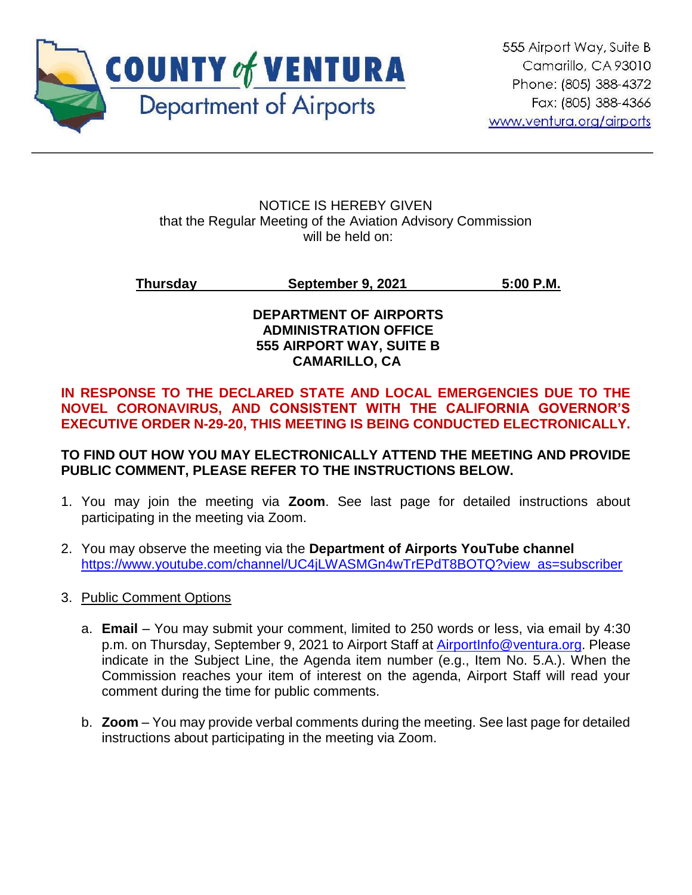

#### NOTICE IS HEREBY GIVEN that the Regular Meeting of the Aviation Advisory Commission will be held on:

## **Thursday September 9, 2021 5:00 P.M.**

## **DEPARTMENT OF AIRPORTS ADMINISTRATION OFFICE 555 AIRPORT WAY, SUITE B CAMARILLO, CA**

## **IN RESPONSE TO THE DECLARED STATE AND LOCAL EMERGENCIES DUE TO THE NOVEL CORONAVIRUS, AND CONSISTENT WITH THE CALIFORNIA GOVERNOR'S EXECUTIVE ORDER N-29-20, THIS MEETING IS BEING CONDUCTED ELECTRONICALLY.**

## **TO FIND OUT HOW YOU MAY ELECTRONICALLY ATTEND THE MEETING AND PROVIDE PUBLIC COMMENT, PLEASE REFER TO THE INSTRUCTIONS BELOW.**

- 1. You may join the meeting via **Zoom**. See last page for detailed instructions about participating in the meeting via Zoom.
- 2. You may observe the meeting via the **Department of Airports YouTube channel** [https://www.youtube.com/channel/UC4jLWASMGn4wTrEPdT8BOTQ?view\\_as=subscriber](https://www.youtube.com/channel/UC4jLWASMGn4wTrEPdT8BOTQ?view_as=subscriber)
- 3. Public Comment Options
	- a. **Email** You may submit your comment, limited to 250 words or less, via email by 4:30 p.m. on Thursday, September 9, 2021 to Airport Staff at [AirportInfo@ventura.org.](mailto:AirportInfo@ventura.org) Please indicate in the Subject Line, the Agenda item number (e.g., Item No. 5.A.). When the Commission reaches your item of interest on the agenda, Airport Staff will read your comment during the time for public comments.
	- b. **Zoom** You may provide verbal comments during the meeting. See last page for detailed instructions about participating in the meeting via Zoom.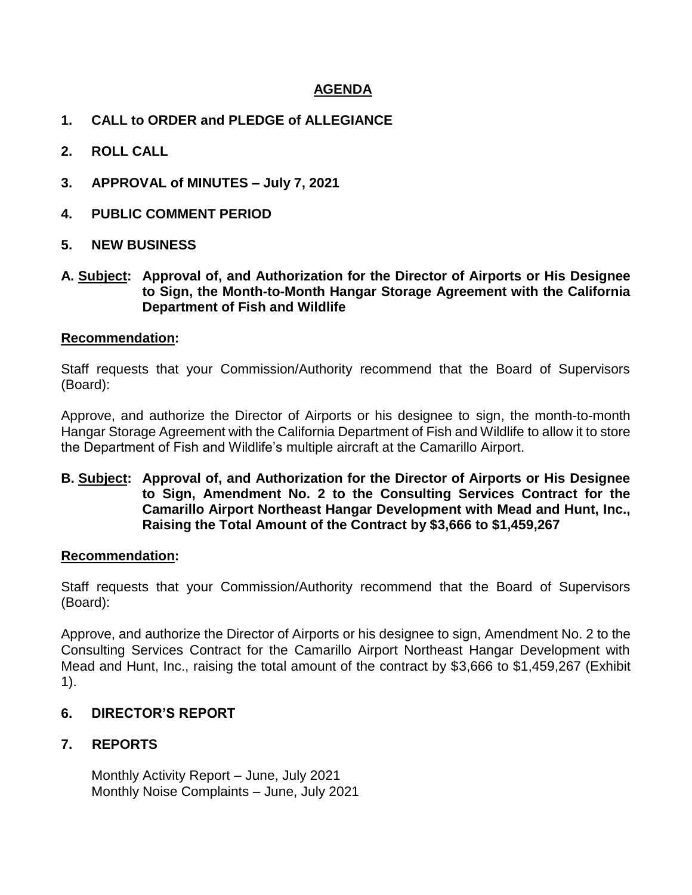#### **AGENDA**

- **1. CALL to ORDER and PLEDGE of ALLEGIANCE**
- **2. ROLL CALL**
- **3. APPROVAL of MINUTES – July 7, 2021**
- **4. PUBLIC COMMENT PERIOD**
- **5. NEW BUSINESS**
- **A. Subject: Approval of, and Authorization for the Director of Airports or His Designee to Sign, the Month-to-Month Hangar Storage Agreement with the California Department of Fish and Wildlife**

#### **Recommendation:**

Staff requests that your Commission/Authority recommend that the Board of Supervisors (Board):

Approve, and authorize the Director of Airports or his designee to sign, the month-to-month Hangar Storage Agreement with the California Department of Fish and Wildlife to allow it to store the Department of Fish and Wildlife's multiple aircraft at the Camarillo Airport.

#### **B. Subject: Approval of, and Authorization for the Director of Airports or His Designee to Sign, Amendment No. 2 to the Consulting Services Contract for the Camarillo Airport Northeast Hangar Development with Mead and Hunt, Inc., Raising the Total Amount of the Contract by \$3,666 to \$1,459,267**

#### **Recommendation:**

Staff requests that your Commission/Authority recommend that the Board of Supervisors (Board):

Approve, and authorize the Director of Airports or his designee to sign, Amendment No. 2 to the Consulting Services Contract for the Camarillo Airport Northeast Hangar Development with Mead and Hunt, Inc., raising the total amount of the contract by \$3,666 to \$1,459,267 (Exhibit 1).

#### **6. DIRECTOR'S REPORT**

#### **7. REPORTS**

Monthly Activity Report – June, July 2021 Monthly Noise Complaints – June, July 2021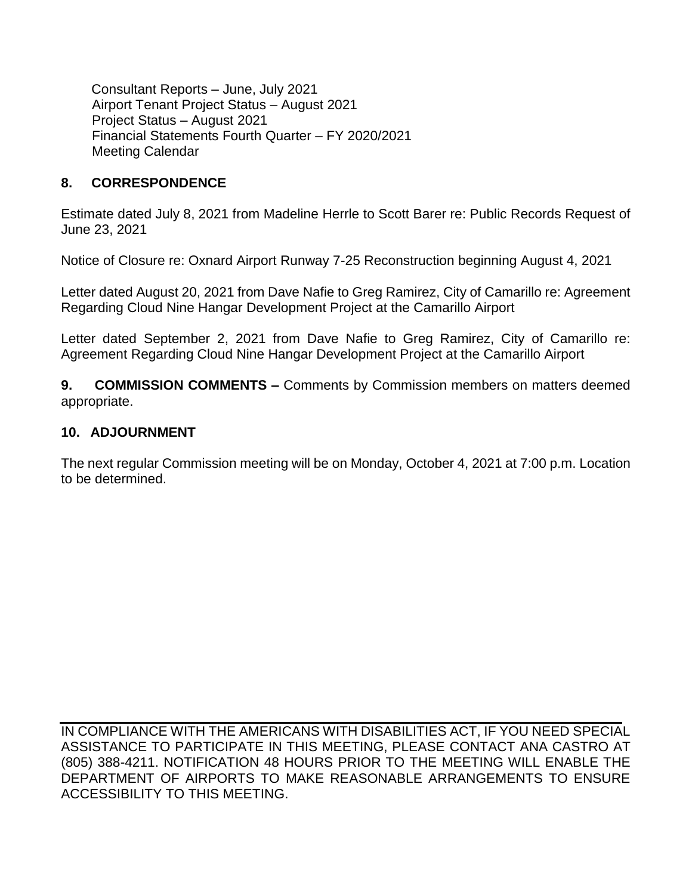Consultant Reports – June, July 2021 Airport Tenant Project Status – August 2021 Project Status – August 2021 Financial Statements Fourth Quarter – FY 2020/2021 Meeting Calendar

## **8. CORRESPONDENCE**

Estimate dated July 8, 2021 from Madeline Herrle to Scott Barer re: Public Records Request of June 23, 2021

Notice of Closure re: Oxnard Airport Runway 7-25 Reconstruction beginning August 4, 2021

Letter dated August 20, 2021 from Dave Nafie to Greg Ramirez, City of Camarillo re: Agreement Regarding Cloud Nine Hangar Development Project at the Camarillo Airport

Letter dated September 2, 2021 from Dave Nafie to Greg Ramirez, City of Camarillo re: Agreement Regarding Cloud Nine Hangar Development Project at the Camarillo Airport

**9. COMMISSION COMMENTS –** Comments by Commission members on matters deemed appropriate.

#### **10. ADJOURNMENT**

The next regular Commission meeting will be on Monday, October 4, 2021 at 7:00 p.m. Location to be determined.

IN COMPLIANCE WITH THE AMERICANS WITH DISABILITIES ACT, IF YOU NEED SPECIAL ASSISTANCE TO PARTICIPATE IN THIS MEETING, PLEASE CONTACT ANA CASTRO AT (805) 388-4211. NOTIFICATION 48 HOURS PRIOR TO THE MEETING WILL ENABLE THE DEPARTMENT OF AIRPORTS TO MAKE REASONABLE ARRANGEMENTS TO ENSURE ACCESSIBILITY TO THIS MEETING.